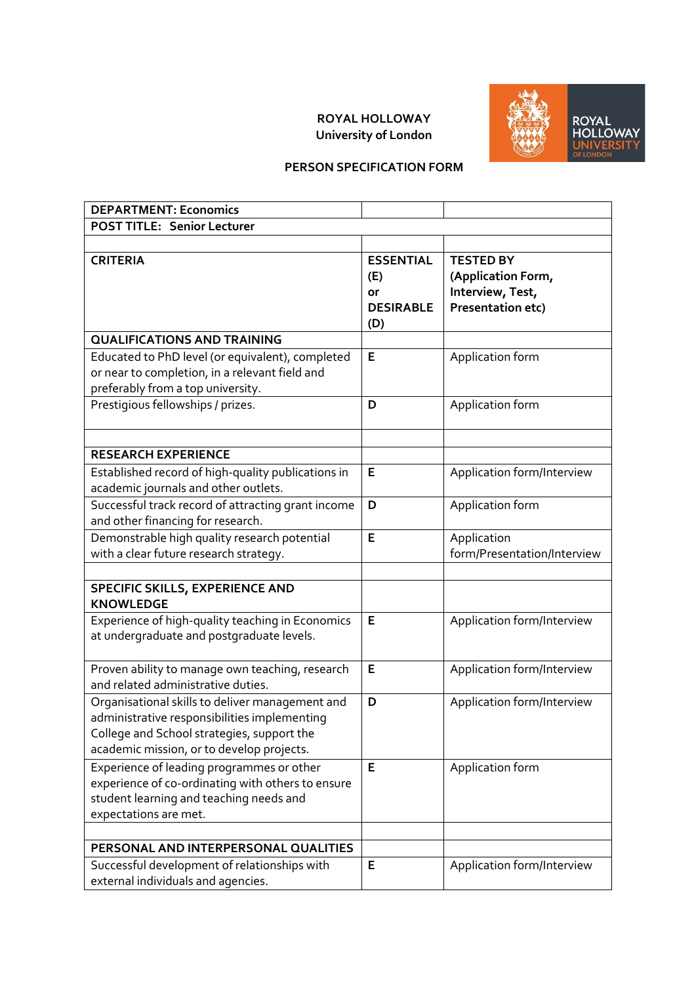## **ROYAL HOLLOWAY University of London**



## **PERSON SPECIFICATION FORM**

| <b>DEPARTMENT: Economics</b>                                                                                                                                                               |                                                          |                                                                                 |
|--------------------------------------------------------------------------------------------------------------------------------------------------------------------------------------------|----------------------------------------------------------|---------------------------------------------------------------------------------|
| <b>POST TITLE: Senior Lecturer</b>                                                                                                                                                         |                                                          |                                                                                 |
|                                                                                                                                                                                            |                                                          |                                                                                 |
| <b>CRITERIA</b>                                                                                                                                                                            | <b>ESSENTIAL</b><br>(E)<br>or<br><b>DESIRABLE</b><br>(D) | <b>TESTED BY</b><br>(Application Form,<br>Interview, Test,<br>Presentation etc) |
| <b>QUALIFICATIONS AND TRAINING</b>                                                                                                                                                         |                                                          |                                                                                 |
| Educated to PhD level (or equivalent), completed<br>or near to completion, in a relevant field and<br>preferably from a top university.                                                    | E                                                        | Application form                                                                |
| Prestigious fellowships / prizes.                                                                                                                                                          | D                                                        | Application form                                                                |
| <b>RESEARCH EXPERIENCE</b>                                                                                                                                                                 |                                                          |                                                                                 |
| Established record of high-quality publications in<br>academic journals and other outlets.                                                                                                 | E                                                        | Application form/Interview                                                      |
| Successful track record of attracting grant income<br>and other financing for research.                                                                                                    | D                                                        | Application form                                                                |
| Demonstrable high quality research potential<br>with a clear future research strategy.                                                                                                     | E                                                        | Application<br>form/Presentation/Interview                                      |
| SPECIFIC SKILLS, EXPERIENCE AND<br><b>KNOWLEDGE</b>                                                                                                                                        |                                                          |                                                                                 |
| Experience of high-quality teaching in Economics<br>at undergraduate and postgraduate levels.                                                                                              | E                                                        | Application form/Interview                                                      |
| Proven ability to manage own teaching, research<br>and related administrative duties.                                                                                                      | E                                                        | Application form/Interview                                                      |
| Organisational skills to deliver management and<br>administrative responsibilities implementing<br>College and School strategies, support the<br>academic mission, or to develop projects. | D                                                        | Application form/Interview                                                      |
| Experience of leading programmes or other<br>experience of co-ordinating with others to ensure<br>student learning and teaching needs and<br>expectations are met.                         | E                                                        | Application form                                                                |
|                                                                                                                                                                                            |                                                          |                                                                                 |
| PERSONAL AND INTERPERSONAL QUALITIES                                                                                                                                                       |                                                          |                                                                                 |
| Successful development of relationships with<br>external individuals and agencies.                                                                                                         | E                                                        | Application form/Interview                                                      |